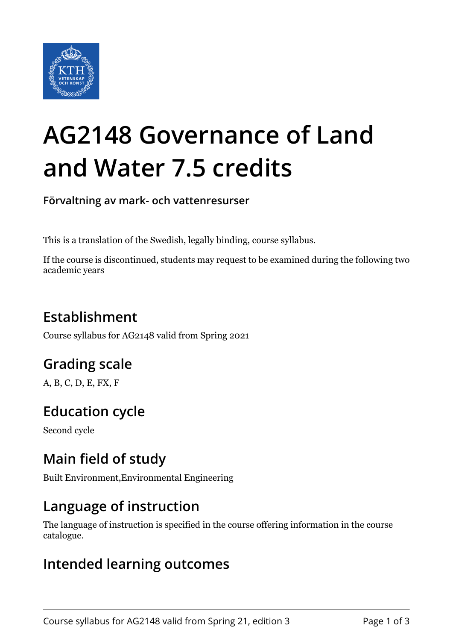

# **AG2148 Governance of Land and Water 7.5 credits**

**Förvaltning av mark- och vattenresurser**

This is a translation of the Swedish, legally binding, course syllabus.

If the course is discontinued, students may request to be examined during the following two academic years

# **Establishment**

Course syllabus for AG2148 valid from Spring 2021

# **Grading scale**

A, B, C, D, E, FX, F

# **Education cycle**

Second cycle

## **Main field of study**

Built Environment,Environmental Engineering

## **Language of instruction**

The language of instruction is specified in the course offering information in the course catalogue.

#### **Intended learning outcomes**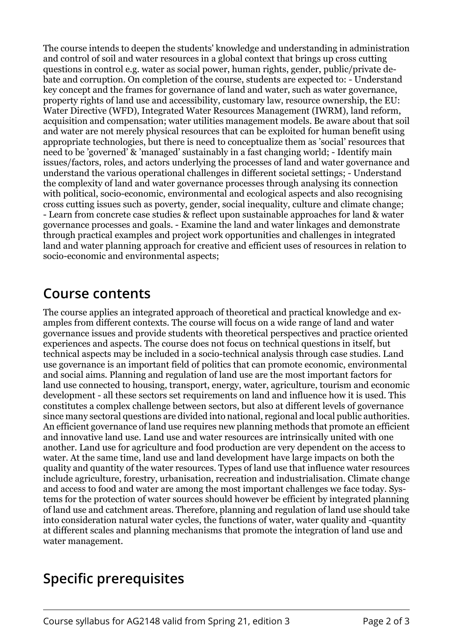The course intends to deepen the students' knowledge and understanding in administration and control of soil and water resources in a global context that brings up cross cutting questions in control e.g. water as social power, human rights, gender, public/private debate and corruption. On completion of the course, students are expected to: - Understand key concept and the frames for governance of land and water, such as water governance, property rights of land use and accessibility, customary law, resource ownership, the EU: Water Directive (WFD), Integrated Water Resources Management (IWRM), land reform, acquisition and compensation; water utilities management models. Be aware about that soil and water are not merely physical resources that can be exploited for human benefit using appropriate technologies, but there is need to conceptualize them as 'social' resources that need to be 'governed' & 'managed' sustainably in a fast changing world; - Identify main issues/factors, roles, and actors underlying the processes of land and water governance and understand the various operational challenges in different societal settings; - Understand the complexity of land and water governance processes through analysing its connection with political, socio-economic, environmental and ecological aspects and also recognising cross cutting issues such as poverty, gender, social inequality, culture and climate change; - Learn from concrete case studies & reflect upon sustainable approaches for land & water governance processes and goals. - Examine the land and water linkages and demonstrate through practical examples and project work opportunities and challenges in integrated land and water planning approach for creative and efficient uses of resources in relation to socio-economic and environmental aspects;

#### **Course contents**

The course applies an integrated approach of theoretical and practical knowledge and examples from different contexts. The course will focus on a wide range of land and water governance issues and provide students with theoretical perspectives and practice oriented experiences and aspects. The course does not focus on technical questions in itself, but technical aspects may be included in a socio-technical analysis through case studies. Land use governance is an important field of politics that can promote economic, environmental and social aims. Planning and regulation of land use are the most important factors for land use connected to housing, transport, energy, water, agriculture, tourism and economic development - all these sectors set requirements on land and influence how it is used. This constitutes a complex challenge between sectors, but also at different levels of governance since many sectoral questions are divided into national, regional and local public authorities. An efficient governance of land use requires new planning methods that promote an efficient and innovative land use. Land use and water resources are intrinsically united with one another. Land use for agriculture and food production are very dependent on the access to water. At the same time, land use and land development have large impacts on both the quality and quantity of the water resources. Types of land use that influence water resources include agriculture, forestry, urbanisation, recreation and industrialisation. Climate change and access to food and water are among the most important challenges we face today. Systems for the protection of water sources should however be efficient by integrated planning of land use and catchment areas. Therefore, planning and regulation of land use should take into consideration natural water cycles, the functions of water, water quality and -quantity at different scales and planning mechanisms that promote the integration of land use and water management.

## **Specific prerequisites**